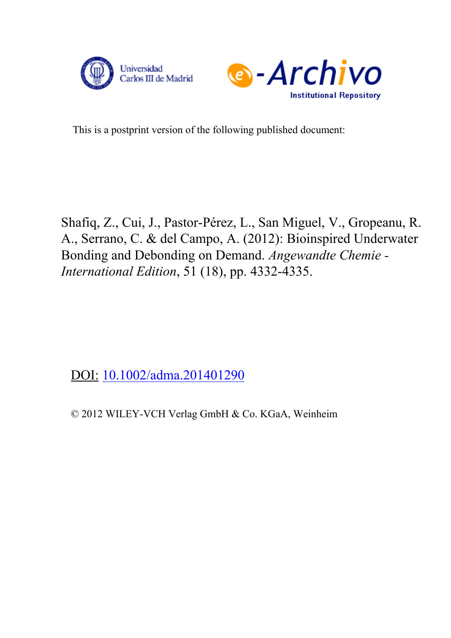



This is a postprint version of the following published document:

Shafiq, Z., Cui, J., Pastor-Pérez, L., San Miguel, V., Gropeanu, R. A., Serrano, C. & del Campo, A. (2012): Bioinspired Underwater Bonding and Debonding on Demand. *Angewandte Chemie - International Edition*, 51 (18), pp. 4332-4335.

DOI: [10.1002/adma.201401290](http://www.dx.doi.org/10.1002/adma.201401290)

© 2012 WILEY-VCH Verlag GmbH & Co. KGaA, Weinheim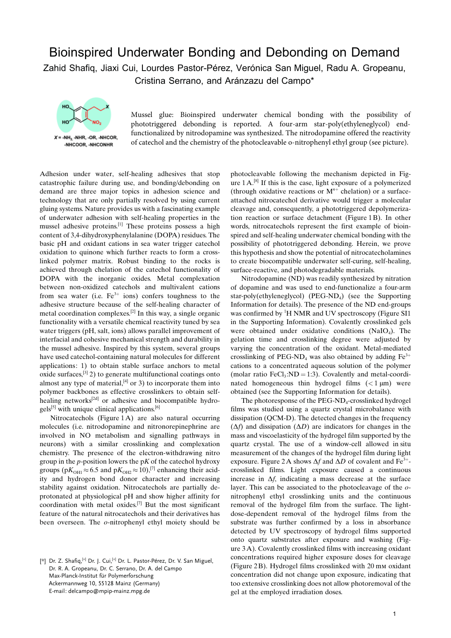## Bioinspired Underwater Bonding and Debonding on Demand Zahid Shafiq, Jiaxi Cui, Lourdes Pastor-Pérez, Verónica San Miguel, Radu A. Gropeanu, Cristina Serrano, and Aránzazu del Campo\*



Mussel glue: Bioinspired underwater chemical bonding with the possibility of phototriggered debonding is reported. A four-arm star-poly(ethyleneglycol) endfunctionalized by nitrodopamine was synthesized. The nitrodopamine offered the reactivity of catechol and the chemistry of the photocleavable o-nitrophenyl ethyl group (see picture).

Adhesion under water, self-healing adhesives that stop catastrophic failure during use, and bonding/debonding on demand are three major topics in adhesion science and technology that are only partially resolved by using current gluing systems. Nature provides us with a fascinating example of underwater adhesion with self-healing properties in the mussel adhesive proteins.[1] These proteins possess a high content of 3,4-dihydroxyphenylalanine (DOPA) residues. The basic pH and oxidant cations in sea water trigger catechol oxidation to quinone which further reacts to form a crosslinked polymer matrix. Robust binding to the rocks is achieved through chelation of the catechol functionality of DOPA with the inorganic oxides. Metal complexation between non-oxidized catechols and multivalent cations from sea water (i.e.  $Fe^{3+}$  ions) confers toughness to the adhesive structure because of the self-healing character of metal coordination complexes.[2] In this way, a single organic functionality with a versatile chemical reactivity tuned by sea water triggers (pH, salt, ions) allows parallel improvement of interfacial and cohesive mechanical strength and durability in the mussel adhesive. Inspired by this system, several groups have used catechol-containing natural molecules for different applications: 1) to obtain stable surface anchors to metal oxide surfaces, $[3]$  2) to generate multifunctional coatings onto almost any type of material, $[4]$  or 3) to incorporate them into polymer backbones as effective crosslinkers to obtain selfhealing networks<sup>[2d]</sup> or adhesive and biocompatible hydro $gels^{[5]}$  with unique clinical applications.<sup>[6]</sup>

Nitrocatechols (Figure 1A) are also natural occurring molecules (i.e. nitrodopamine and nitronorepinephrine are involved in NO metabolism and signalling pathways in neurons) with a similar crosslinking and complexation chemistry. The presence of the electron-withdrawing nitro group in the *p*-position lowers the  $pK$  of the catechol hydroxy groups ( $pK<sub>OH1</sub> \approx 6.5$  and  $pK<sub>OH2</sub> \approx 10$ ),<sup>[7]</sup> enhancing their acidity and hydrogen bond donor character and increasing stability against oxidation. Nitrocatechols are partially deprotonated at physiological pH and show higher affinity for coordination with metal oxides.[7] But the most significant feature of the natural nitrocatechols and their derivatives has been overseen. The o-nitrophenyl ethyl moiety should be

[\*] Dr. Z. Shafiq, <sup>[+]</sup> Dr. J. Cui, <sup>[+]</sup> Dr. L. Pastor-Pérez, Dr. V. San Miguel, Dr. R. A. Gropeanu, Dr. C. Serrano, Dr. A. del Campo Max-Planck-Institut für Polymerforschung Ackermannweg 10, 55128 Mainz (Germany) E-mail: delcampo@mpip-mainz.mpg.de

photocleavable following the mechanism depicted in Figure  $1 \text{ A}^{[8]}$  If this is the case, light exposure of a polymerized (through oxidative reactions or  $M^{n+}$  chelation) or a surfaceattached nitrocatechol derivative would trigger a molecular cleavage and, consequently, a phototriggered depolymerization reaction or surface detachment (Figure 1 B). In other words, nitrocatechols represent the first example of bioinspired and self-healing underwater chemical bonding with the possibility of phototriggered debonding. Herein, we prove this hypothesis and show the potential of nitrocatecholamines to create biocompatible underwater self-curing, self-healing, surface-reactive, and photodegradable materials.

Nitrodopamine (ND) was readily synthesized by nitration of dopamine and was used to end-functionalize a four-arm star-poly(ethyleneglycol) (PEG-ND<sub>4</sub>) (see the Supporting Information for details). The presence of the ND end-groups was confirmed by <sup>1</sup>H NMR and UV spectroscopy (Figure SI1 in the Supporting Information). Covalently crosslinked gels were obtained under oxidative conditions  $(NaIO<sub>4</sub>)$ . The gelation time and crosslinking degree were adjusted by varying the concentration of the oxidant. Metal-mediated crosslinking of PEG-ND<sub>4</sub> was also obtained by adding  $Fe^{3+}$ cations to a concentrated aqueous solution of the polymer (molar ratio  $FeCl<sub>3</sub>:ND = 1:3$ ). Covalently and metal-coordinated homogeneous thin hydrogel films  $(< 1 \mu m)$  were obtained (see the Supporting Information for details).

The photoresponse of the  $PEG-ND_4$ -crosslinked hydrogel films was studied using a quartz crystal microbalance with dissipation (QCM-D). The detected changes in the frequency  $(\Delta f)$  and dissipation  $(\Delta D)$  are indicators for changes in the mass and viscoelasticity of the hydrogel film supported by the quartz crystal. The use of a window-cell allowed in situ measurement of the changes of the hydrogel film during light exposure. Figure 2A shows  $\Delta f$  and  $\Delta D$  of covalent and Fe<sup>3+</sup>crosslinked films. Light exposure caused a continuous increase in  $\Delta f$ , indicating a mass decrease at the surface layer. This can be associated to the photocleavage of the onitrophenyl ethyl crosslinking units and the continuous removal of the hydrogel film from the surface. The lightdose-dependent removal of the hydrogel films from the substrate was further confirmed by a loss in absorbance detected by UV spectroscopy of hydrogel films supported onto quartz substrates after exposure and washing (Figure 3A). Covalently crosslinked films with increasing oxidant concentrations required higher exposure doses for cleavage (Figure 2 B). Hydrogel films crosslinked with 20 mm oxidant concentration did not change upon exposure, indicating that too extensive crosslinking does not allow photoremoval of the gel at the employed irradiation doses.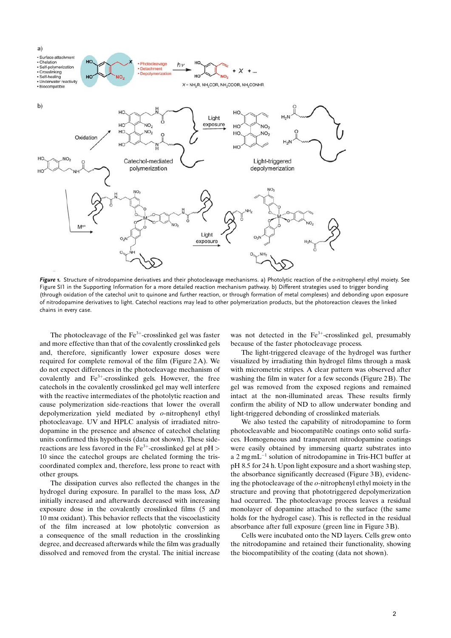

Figure 1. Structure of nitrodopamine derivatives and their photocleavage mechanisms. a) Photolytic reaction of the o-nitrophenyl ethyl moiety. See Figure SI1 in the Supporting Information for a more detailed reaction mechanism pathway. b) Different strategies used to trigger bonding (through oxidation of the catechol unit to quinone and further reaction, or through formation of metal complexes) and debonding upon exposure of nitrodopamine derivatives to light. Catechol reactions may lead to other polymerization products, but the photoreaction cleaves the linked chains in every case.

The photocleavage of the  $Fe<sup>3+</sup>$ -crosslinked gel was faster and more effective than that of the covalently crosslinked gels and, therefore, significantly lower exposure doses were required for complete removal of the film (Figure 2A). We do not expect differences in the photocleavage mechanism of covalently and  $Fe<sup>3+</sup>$ -crosslinked gels. However, the free catechols in the covalently crosslinked gel may well interfere with the reactive intermediates of the photolytic reaction and cause polymerization side-reactions that lower the overall depolymerization yield mediated by o-nitrophenyl ethyl photocleavage. UV and HPLC analysis of irradiated nitrodopamine in the presence and absence of catechol chelating units confirmed this hypothesis (data not shown). These sidereactions are less favored in the  $Fe^{3+}$ -crosslinked gel at  $pH >$ 10 since the catechol groups are chelated forming the triscoordinated complex and, therefore, less prone to react with other groups.

The dissipation curves also reflected the changes in the hydrogel during exposure. In parallel to the mass loss,  $\Delta D$ initially increased and afterwards decreased with increasing exposure dose in the covalently crosslinked films (5 and 10 mm oxidant). This behavior reflects that the viscoelasticity of the film increased at low photolytic conversion as a consequence of the small reduction in the crosslinking degree, and decreased afterwards while the film was gradually dissolved and removed from the crystal. The initial increase was not detected in the  $Fe<sup>3+</sup>$ -crosslinked gel, presumably because of the faster photocleavage process.

The light-triggered cleavage of the hydrogel was further visualized by irradiating thin hydrogel films through a mask with micrometric stripes. A clear pattern was observed after washing the film in water for a few seconds (Figure 2B). The gel was removed from the exposed regions and remained intact at the non-illuminated areas. These results firmly confirm the ability of ND to allow underwater bonding and light-triggered debonding of crosslinked materials.

We also tested the capability of nitrodopamine to form photocleavable and biocompatible coatings onto solid surfaces. Homogeneous and transparent nitrodopamine coatings were easily obtained by immersing quartz substrates into a 2 mgm $L^{-1}$  solution of nitrodopamine in Tris-HCl buffer at pH 8.5 for 24 h. Upon light exposure and a short washing step, the absorbance significantly decreased (Figure 3 B), evidencing the photocleavage of the o-nitrophenyl ethyl moiety in the structure and proving that phototriggered depolymerization had occurred. The photocleavage process leaves a residual monolayer of dopamine attached to the surface (the same holds for the hydrogel case). This is reflected in the residual absorbance after full exposure (green line in Figure 3 B).

Cells were incubated onto the ND layers. Cells grew onto the nitrodopamine and retained their functionality, showing the biocompatibility of the coating (data not shown).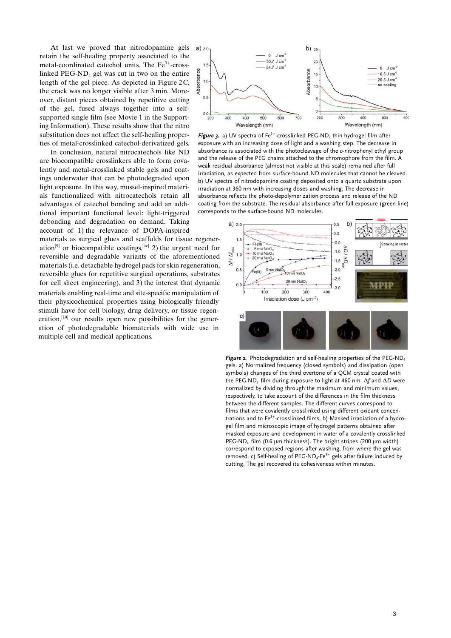At last we proved that nitrodopamine gels retain the self-healing property associated to the metal-coordinated catechol units. The Fe<sup>3+</sup>-crosslinked  $PEG-ND_4$  gel was cut in two on the entire length of the gel piece. As depicted in Figure 2C, the crack was no longer visible after 3 min. Moreover, distant pieces obtained by repetitive cutting of the gel, fused always together into a selfsupported single film (see Movie 1 in the Supporting Information). These results show that the nitro substitution does not affect the self-healing properties of metal-crosslinked catechol-derivatized gels.

In conclusion, natural nitrocatechols like ND are biocompatible crosslinkers able to form covalently and metal-crosslinked stable gels and coatings underwater that can be photodegraded upon light exposure. In this way, mussel-inspired materials functionalized with nitrocatechols retain all advantages of catechol bonding and add an additional important functional level: light-triggered debonding and degradation on demand. Taking account of 1) the relevance of DOPA-inspired

materials as surgical glues and scaffolds for tissue regeneration<sup>[9]</sup> or biocompatible coatings,<sup>[4c]</sup> 2) the urgent need for reversible and degradable variants of the aforementioned materials (i.e. detachable hydrogel pads for skin regeneration, reversible glues for repetitive surgical operations, substrates for cell sheet engineering), and 3) the interest that dynamic materials enabling real-time and site-specific manipulation of their physicochemical properties using biologically friendly stimuli have for cell biology, drug delivery, or tissue regeneration, $[10]$  our results open new possibilities for the generation of photodegradable biomaterials with wide use in multiple cell and medical applications.



Figure 3. a) UV spectra of Fe<sup>3+</sup>-crosslinked PEG-ND<sub>4</sub> thin hydrogel film after exposure with an increasing dose of light and a washing step. The decrease in absorbance is associated with the photocleavage of the o-nitrophenyl ethyl group and the release of the PEG chains attached to the chromophore from the film. A weak residual absorbance (almost not visible at this scale) remained after full irradiation, as expected from surface-bound ND molecules that cannot be cleaved. b) UV spectra of nitrodopamine coating deposited onto a quartz substrate upon irradiation at 360 nm with increasing doses and washing. The decrease in absorbance reflects the photo-depolymerization process and release of the ND coating from the substrate. The residual absorbance after full exposure (green line) corresponds to the surface-bound ND molecules.



Figure 2. Photodegradation and self-healing properties of the PEG-ND<sub>4</sub> gels. a) Normalized frequency (closed symbols) and dissipation (open symbols) changes of the third overtone of a QCM crystal coated with the PEG-ND<sub>4</sub> film during exposure to light at 460 nm.  $\Delta f$  and  $\Delta D$  were normalized by dividing through the maximum and minimum values, respectively, to take account of the differences in the film thickness between the different samples. The different curves correspond to films that were covalently crosslinked using different oxidant concentrations and to  $Fe^{3+}$ -crosslinked films. b) Masked irradiation of a hydrogel film and microscopic image of hydrogel patterns obtained after masked exposure and development in water of a covalently crosslinked PEG-ND<sub>4</sub> film (0.6  $\mu$ m thickness). The bright stripes (200  $\mu$ m width) correspond to exposed regions after washing, from where the gel was removed. c) Self-healing of PEG-ND<sub>4</sub>-Fe<sup>3+</sup> gels after failure induced by cutting. The gel recovered its cohesiveness within minutes.